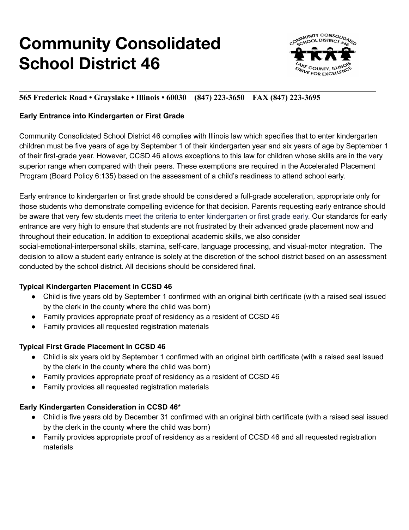# **Community Consolidated School District 46**



#### **\_\_\_\_\_\_\_\_\_\_\_\_\_\_\_\_\_\_\_\_\_\_\_\_\_\_\_\_\_\_\_\_\_\_\_\_\_\_\_\_\_\_\_\_\_\_\_\_\_\_\_\_\_\_\_\_\_\_\_\_\_\_\_\_\_\_\_\_\_\_\_\_\_\_\_\_\_\_\_\_\_\_\_\_\_\_\_\_\_ 565 Frederick Road • Grayslake • Illinois • 60030 (847) 223-3650 FAX (847) 223-3695**

# **Early Entrance into Kindergarten or First Grade**

Community Consolidated School District 46 complies with Illinois law which specifies that to enter kindergarten children must be five years of age by September 1 of their kindergarten year and six years of age by September 1 of their first-grade year. However, CCSD 46 allows exceptions to this law for children whose skills are in the very superior range when compared with their peers. These exemptions are required in the Accelerated Placement Program (Board Policy 6:135) based on the assessment of a child's readiness to attend school early.

Early entrance to kindergarten or first grade should be considered a full-grade acceleration, appropriate only for those students who demonstrate compelling evidence for that decision. Parents requesting early entrance should be aware that very few students meet the criteria to enter kindergarten or first grade early. Our standards for early entrance are very high to ensure that students are not frustrated by their advanced grade placement now and throughout their education. In addition to exceptional academic skills, we also consider

social-emotional-interpersonal skills, stamina, self-care, language processing, and visual-motor integration. The decision to allow a student early entrance is solely at the discretion of the school district based on an assessment conducted by the school district. All decisions should be considered final.

### **Typical Kindergarten Placement in CCSD 46**

- Child is five years old by September 1 confirmed with an original birth certificate (with a raised seal issued by the clerk in the county where the child was born)
- Family provides appropriate proof of residency as a resident of CCSD 46
- Family provides all requested registration materials

### **Typical First Grade Placement in CCSD 46**

- Child is six years old by September 1 confirmed with an original birth certificate (with a raised seal issued by the clerk in the county where the child was born)
- Family provides appropriate proof of residency as a resident of CCSD 46
- Family provides all requested registration materials

# **Early Kindergarten Consideration in CCSD 46\***

- Child is five years old by December 31 confirmed with an original birth certificate (with a raised seal issued by the clerk in the county where the child was born)
- Family provides appropriate proof of residency as a resident of CCSD 46 and all requested registration materials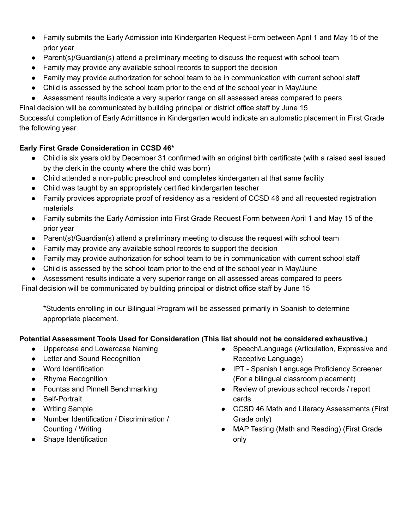- Family submits the Early Admission into Kindergarten Request Form between April 1 and May 15 of the prior year
- Parent(s)/Guardian(s) attend a preliminary meeting to discuss the request with school team
- Family may provide any available school records to support the decision
- Family may provide authorization for school team to be in communication with current school staff
- Child is assessed by the school team prior to the end of the school year in May/June
- Assessment results indicate a very superior range on all assessed areas compared to peers

Final decision will be communicated by building principal or district office staff by June 15

Successful completion of Early Admittance in Kindergarten would indicate an automatic placement in First Grade the following year.

# **Early First Grade Consideration in CCSD 46\***

- Child is six years old by December 31 confirmed with an original birth certificate (with a raised seal issued by the clerk in the county where the child was born)
- Child attended a non-public preschool and completes kindergarten at that same facility
- Child was taught by an appropriately certified kindergarten teacher
- Family provides appropriate proof of residency as a resident of CCSD 46 and all requested registration materials
- Family submits the Early Admission into First Grade Request Form between April 1 and May 15 of the prior year
- Parent(s)/Guardian(s) attend a preliminary meeting to discuss the request with school team
- Family may provide any available school records to support the decision
- Family may provide authorization for school team to be in communication with current school staff
- Child is assessed by the school team prior to the end of the school year in May/June
- Assessment results indicate a very superior range on all assessed areas compared to peers

Final decision will be communicated by building principal or district office staff by June 15

\*Students enrolling in our Bilingual Program will be assessed primarily in Spanish to determine appropriate placement.

# **Potential Assessment Tools Used for Consideration (This list should not be considered exhaustive.)**

- Uppercase and Lowercase Naming
- Letter and Sound Recognition
- Word Identification
- Rhyme Recognition
- Fountas and Pinnell Benchmarking
- Self-Portrait
- Writing Sample
- Number Identification / Discrimination / Counting / Writing
- Shape Identification
- Speech/Language (Articulation, Expressive and Receptive Language)
- IPT Spanish Language Proficiency Screener (For a bilingual classroom placement)
- Review of previous school records / report cards
- CCSD 46 Math and Literacy Assessments (First Grade only)
- MAP Testing (Math and Reading) (First Grade only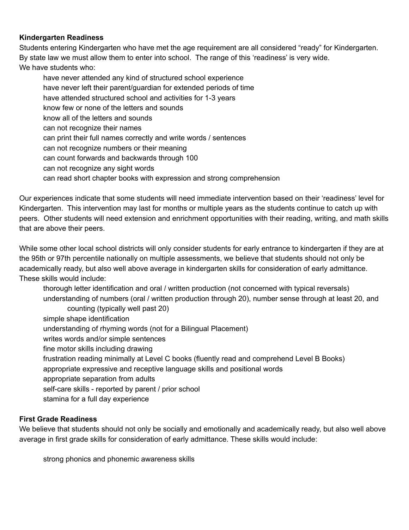#### **Kindergarten Readiness**

Students entering Kindergarten who have met the age requirement are all considered "ready" for Kindergarten. By state law we must allow them to enter into school. The range of this 'readiness' is very wide. We have students who:

have never attended any kind of structured school experience have never left their parent/guardian for extended periods of time have attended structured school and activities for 1-3 years know few or none of the letters and sounds know all of the letters and sounds can not recognize their names can print their full names correctly and write words / sentences can not recognize numbers or their meaning can count forwards and backwards through 100 can not recognize any sight words can read short chapter books with expression and strong comprehension

Our experiences indicate that some students will need immediate intervention based on their 'readiness' level for Kindergarten. This intervention may last for months or multiple years as the students continue to catch up with peers. Other students will need extension and enrichment opportunities with their reading, writing, and math skills that are above their peers.

While some other local school districts will only consider students for early entrance to kindergarten if they are at the 95th or 97th percentile nationally on multiple assessments, we believe that students should not only be academically ready, but also well above average in kindergarten skills for consideration of early admittance. These skills would include:

thorough letter identification and oral / written production (not concerned with typical reversals) understanding of numbers (oral / written production through 20), number sense through at least 20, and counting (typically well past 20) simple shape identification understanding of rhyming words (not for a Bilingual Placement) writes words and/or simple sentences fine motor skills including drawing frustration reading minimally at Level C books (fluently read and comprehend Level B Books) appropriate expressive and receptive language skills and positional words appropriate separation from adults self-care skills - reported by parent / prior school stamina for a full day experience

#### **First Grade Readiness**

We believe that students should not only be socially and emotionally and academically ready, but also well above average in first grade skills for consideration of early admittance. These skills would include:

strong phonics and phonemic awareness skills